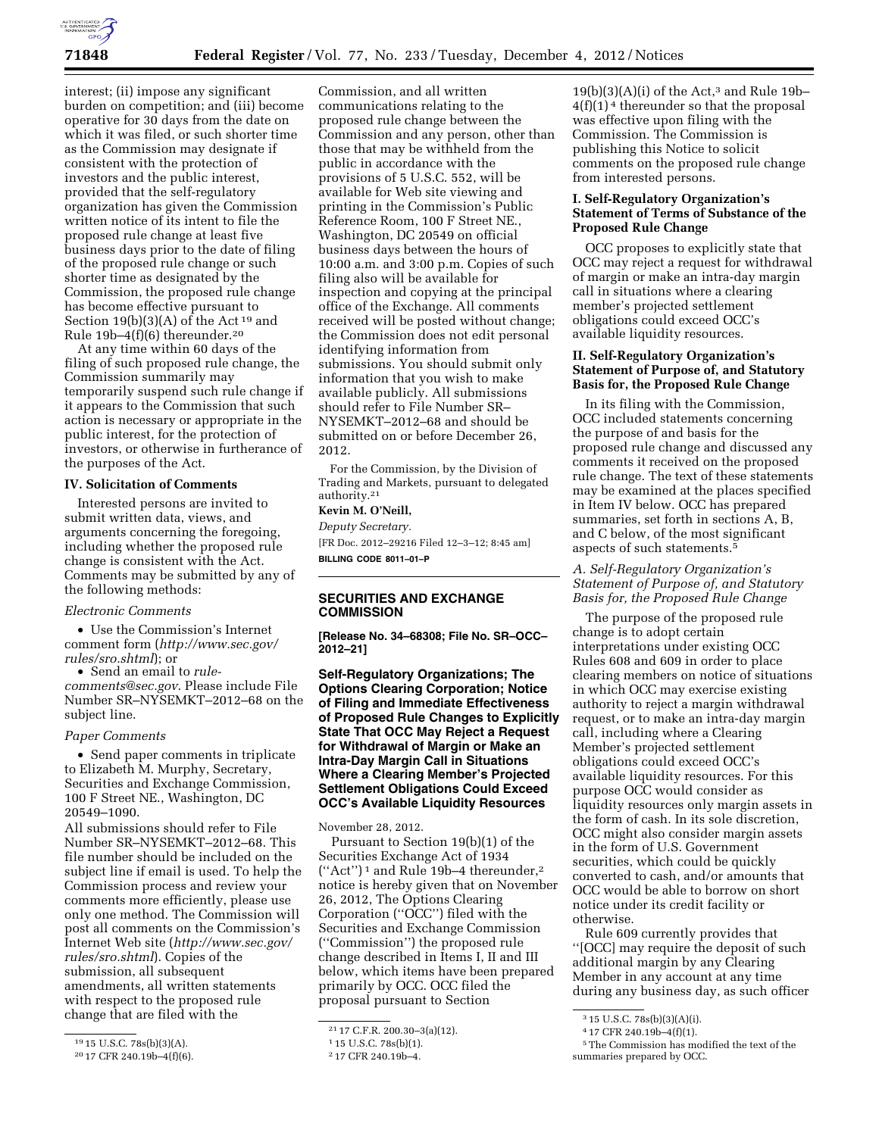

interest; (ii) impose any significant burden on competition; and (iii) become operative for 30 days from the date on which it was filed, or such shorter time as the Commission may designate if consistent with the protection of investors and the public interest, provided that the self-regulatory organization has given the Commission written notice of its intent to file the proposed rule change at least five business days prior to the date of filing of the proposed rule change or such shorter time as designated by the Commission, the proposed rule change has become effective pursuant to Section  $19(b)(3)(A)$  of the Act<sup>19</sup> and Rule 19b–4(f)(6) thereunder.20

At any time within 60 days of the filing of such proposed rule change, the Commission summarily may temporarily suspend such rule change if it appears to the Commission that such action is necessary or appropriate in the public interest, for the protection of investors, or otherwise in furtherance of the purposes of the Act.

#### **IV. Solicitation of Comments**

Interested persons are invited to submit written data, views, and arguments concerning the foregoing, including whether the proposed rule change is consistent with the Act. Comments may be submitted by any of the following methods:

#### *Electronic Comments*

• Use the Commission's Internet comment form (*[http://www.sec.gov/](http://www.sec.gov/rules/sro.shtml)  [rules/sro.shtml](http://www.sec.gov/rules/sro.shtml)*); or

• Send an email to *[rule](mailto:rule-comments@sec.gov)[comments@sec.gov](mailto:rule-comments@sec.gov)*. Please include File Number SR–NYSEMKT–2012–68 on the subject line.

#### *Paper Comments*

• Send paper comments in triplicate to Elizabeth M. Murphy, Secretary, Securities and Exchange Commission, 100 F Street NE., Washington, DC 20549–1090.

All submissions should refer to File Number SR–NYSEMKT–2012–68. This file number should be included on the subject line if email is used. To help the Commission process and review your comments more efficiently, please use only one method. The Commission will post all comments on the Commission's Internet Web site (*[http://www.sec.gov/](http://www.sec.gov/rules/sro.shtml)  [rules/sro.shtml](http://www.sec.gov/rules/sro.shtml)*). Copies of the submission, all subsequent amendments, all written statements with respect to the proposed rule change that are filed with the

Commission, and all written communications relating to the proposed rule change between the Commission and any person, other than those that may be withheld from the public in accordance with the provisions of 5 U.S.C. 552, will be available for Web site viewing and printing in the Commission's Public Reference Room, 100 F Street NE., Washington, DC 20549 on official business days between the hours of 10:00 a.m. and 3:00 p.m. Copies of such filing also will be available for inspection and copying at the principal office of the Exchange. All comments received will be posted without change; the Commission does not edit personal identifying information from submissions. You should submit only information that you wish to make available publicly. All submissions should refer to File Number SR– NYSEMKT–2012–68 and should be submitted on or before December 26, 2012.

For the Commission, by the Division of Trading and Markets, pursuant to delegated authority.21

# **Kevin M. O'Neill,**

*Deputy Secretary.*  [FR Doc. 2012–29216 Filed 12–3–12; 8:45 am] **BILLING CODE 8011–01–P** 

## **SECURITIES AND EXCHANGE COMMISSION**

**[Release No. 34–68308; File No. SR–OCC– 2012–21]** 

**Self-Regulatory Organizations; The Options Clearing Corporation; Notice of Filing and Immediate Effectiveness of Proposed Rule Changes to Explicitly State That OCC May Reject a Request for Withdrawal of Margin or Make an Intra-Day Margin Call in Situations Where a Clearing Member's Projected Settlement Obligations Could Exceed OCC's Available Liquidity Resources** 

November 28, 2012.

Pursuant to Section 19(b)(1) of the Securities Exchange Act of 1934 (''Act'') 1 and Rule 19b–4 thereunder,2 notice is hereby given that on November 26, 2012, The Options Clearing Corporation (''OCC'') filed with the Securities and Exchange Commission (''Commission'') the proposed rule change described in Items I, II and III below, which items have been prepared primarily by OCC. OCC filed the proposal pursuant to Section

 $19(b)(3)(A)(i)$  of the Act,<sup>3</sup> and Rule 19b- $4(f)(1)<sup>4</sup>$  thereunder so that the proposal was effective upon filing with the Commission. The Commission is publishing this Notice to solicit comments on the proposed rule change from interested persons.

## **I. Self-Regulatory Organization's Statement of Terms of Substance of the Proposed Rule Change**

OCC proposes to explicitly state that OCC may reject a request for withdrawal of margin or make an intra-day margin call in situations where a clearing member's projected settlement obligations could exceed OCC's available liquidity resources.

#### **II. Self-Regulatory Organization's Statement of Purpose of, and Statutory Basis for, the Proposed Rule Change**

In its filing with the Commission, OCC included statements concerning the purpose of and basis for the proposed rule change and discussed any comments it received on the proposed rule change. The text of these statements may be examined at the places specified in Item IV below. OCC has prepared summaries, set forth in sections A, B, and C below, of the most significant aspects of such statements.5

# *A. Self-Regulatory Organization's Statement of Purpose of, and Statutory Basis for, the Proposed Rule Change*

The purpose of the proposed rule change is to adopt certain interpretations under existing OCC Rules 608 and 609 in order to place clearing members on notice of situations in which OCC may exercise existing authority to reject a margin withdrawal request, or to make an intra-day margin call, including where a Clearing Member's projected settlement obligations could exceed OCC's available liquidity resources. For this purpose OCC would consider as liquidity resources only margin assets in the form of cash. In its sole discretion, OCC might also consider margin assets in the form of U.S. Government securities, which could be quickly converted to cash, and/or amounts that OCC would be able to borrow on short notice under its credit facility or otherwise.

Rule 609 currently provides that ''[OCC] may require the deposit of such additional margin by any Clearing Member in any account at any time during any business day, as such officer

<sup>19</sup> 15 U.S.C. 78s(b)(3)(A).

<sup>20</sup> 17 CFR 240.19b–4(f)(6).

<sup>21</sup> 17 C.F.R. 200.30–3(a)(12).

<sup>1</sup> 15 U.S.C. 78s(b)(1).

<sup>2</sup> 17 CFR 240.19b–4.

<sup>3</sup> 15 U.S.C. 78s(b)(3)(A)(i).

<sup>4</sup> 17 CFR 240.19b–4(f)(1).

<sup>5</sup>The Commission has modified the text of the summaries prepared by OCC.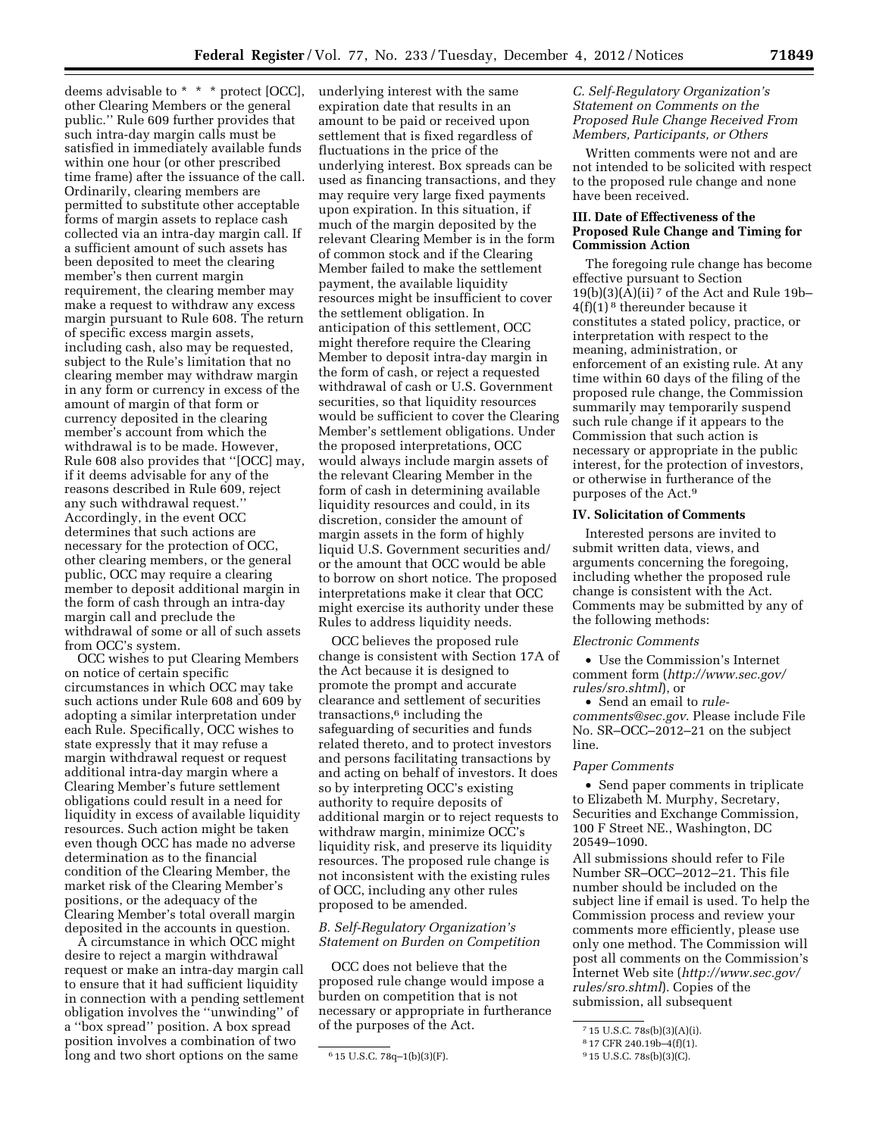deems advisable to \* \* \* protect [OCC], other Clearing Members or the general public.'' Rule 609 further provides that such intra-day margin calls must be satisfied in immediately available funds within one hour (or other prescribed time frame) after the issuance of the call. Ordinarily, clearing members are permitted to substitute other acceptable forms of margin assets to replace cash collected via an intra-day margin call. If a sufficient amount of such assets has been deposited to meet the clearing member's then current margin requirement, the clearing member may make a request to withdraw any excess margin pursuant to Rule 608. The return of specific excess margin assets, including cash, also may be requested, subject to the Rule's limitation that no clearing member may withdraw margin in any form or currency in excess of the amount of margin of that form or currency deposited in the clearing member's account from which the withdrawal is to be made. However, Rule 608 also provides that ''[OCC] may, if it deems advisable for any of the reasons described in Rule 609, reject any such withdrawal request.'' Accordingly, in the event OCC determines that such actions are necessary for the protection of OCC, other clearing members, or the general public, OCC may require a clearing member to deposit additional margin in the form of cash through an intra-day margin call and preclude the withdrawal of some or all of such assets from OCC's system.

OCC wishes to put Clearing Members on notice of certain specific circumstances in which OCC may take such actions under Rule 608 and 609 by adopting a similar interpretation under each Rule. Specifically, OCC wishes to state expressly that it may refuse a margin withdrawal request or request additional intra-day margin where a Clearing Member's future settlement obligations could result in a need for liquidity in excess of available liquidity resources. Such action might be taken even though OCC has made no adverse determination as to the financial condition of the Clearing Member, the market risk of the Clearing Member's positions, or the adequacy of the Clearing Member's total overall margin deposited in the accounts in question.

A circumstance in which OCC might desire to reject a margin withdrawal request or make an intra-day margin call to ensure that it had sufficient liquidity in connection with a pending settlement obligation involves the ''unwinding'' of a ''box spread'' position. A box spread position involves a combination of two long and two short options on the same

underlying interest with the same expiration date that results in an amount to be paid or received upon settlement that is fixed regardless of fluctuations in the price of the underlying interest. Box spreads can be used as financing transactions, and they may require very large fixed payments upon expiration. In this situation, if much of the margin deposited by the relevant Clearing Member is in the form of common stock and if the Clearing Member failed to make the settlement payment, the available liquidity resources might be insufficient to cover the settlement obligation. In anticipation of this settlement, OCC might therefore require the Clearing Member to deposit intra-day margin in the form of cash, or reject a requested withdrawal of cash or U.S. Government securities, so that liquidity resources would be sufficient to cover the Clearing Member's settlement obligations. Under the proposed interpretations, OCC would always include margin assets of the relevant Clearing Member in the form of cash in determining available liquidity resources and could, in its discretion, consider the amount of margin assets in the form of highly liquid U.S. Government securities and/ or the amount that OCC would be able to borrow on short notice. The proposed interpretations make it clear that OCC might exercise its authority under these Rules to address liquidity needs.

OCC believes the proposed rule change is consistent with Section 17A of the Act because it is designed to promote the prompt and accurate clearance and settlement of securities transactions,6 including the safeguarding of securities and funds related thereto, and to protect investors and persons facilitating transactions by and acting on behalf of investors. It does so by interpreting OCC's existing authority to require deposits of additional margin or to reject requests to withdraw margin, minimize OCC's liquidity risk, and preserve its liquidity resources. The proposed rule change is not inconsistent with the existing rules of OCC, including any other rules proposed to be amended.

### *B. Self-Regulatory Organization's Statement on Burden on Competition*

OCC does not believe that the proposed rule change would impose a burden on competition that is not necessary or appropriate in furtherance of the purposes of the Act.

# *C. Self-Regulatory Organization's Statement on Comments on the Proposed Rule Change Received From Members, Participants, or Others*

Written comments were not and are not intended to be solicited with respect to the proposed rule change and none have been received.

## **III. Date of Effectiveness of the Proposed Rule Change and Timing for Commission Action**

The foregoing rule change has become effective pursuant to Section 19(b)(3)( $\tilde{A}$ )(ii)<sup>7</sup> of the Act and Rule 19b– 4(f)(1) 8 thereunder because it constitutes a stated policy, practice, or interpretation with respect to the meaning, administration, or enforcement of an existing rule. At any time within 60 days of the filing of the proposed rule change, the Commission summarily may temporarily suspend such rule change if it appears to the Commission that such action is necessary or appropriate in the public interest, for the protection of investors, or otherwise in furtherance of the purposes of the Act.9

## **IV. Solicitation of Comments**

Interested persons are invited to submit written data, views, and arguments concerning the foregoing, including whether the proposed rule change is consistent with the Act. Comments may be submitted by any of the following methods:

#### *Electronic Comments*

• Use the Commission's Internet comment form (*[http://www.sec.gov/](http://www.sec.gov/rules/sro.shtml)  [rules/sro.shtml](http://www.sec.gov/rules/sro.shtml)*), or

• Send an email to *[rule](mailto:rule-comments@sec.gov)[comments@sec.gov](mailto:rule-comments@sec.gov)*. Please include File No. SR–OCC–2012–21 on the subject line.

#### *Paper Comments*

• Send paper comments in triplicate to Elizabeth M. Murphy, Secretary, Securities and Exchange Commission, 100 F Street NE., Washington, DC 20549–1090.

All submissions should refer to File Number SR–OCC–2012–21. This file number should be included on the subject line if email is used. To help the Commission process and review your comments more efficiently, please use only one method. The Commission will post all comments on the Commission's Internet Web site (*[http://www.sec.gov/](http://www.sec.gov/rules/sro.shtml)  [rules/sro.shtml](http://www.sec.gov/rules/sro.shtml)*). Copies of the submission, all subsequent

<sup>6</sup> 15 U.S.C. 78q–1(b)(3)(F).

<sup>7</sup> 15 U.S.C. 78s(b)(3)(A)(i).

<sup>8</sup> 17 CFR 240.19b–4(f)(1).

<sup>9</sup> 15 U.S.C. 78s(b)(3)(C).